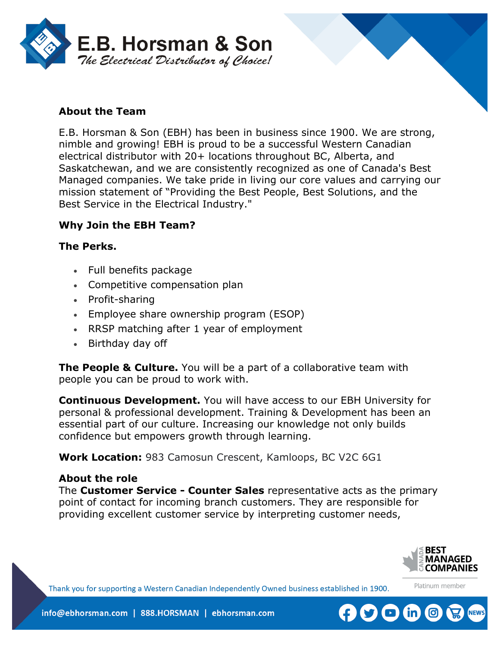



E.B. Horsman & Son (EBH) has been in business since 1900. We are strong, nimble and growing! EBH is proud to be a successful Western Canadian electrical distributor with 20+ locations throughout BC, Alberta, and Saskatchewan, and we are consistently recognized as one of Canada's Best Managed companies. We take pride in living our core values and carrying our mission statement of "Providing the Best People, Best Solutions, and the Best Service in the Electrical Industry."

## **Why Join the EBH Team?**

#### **The Perks.**

- Full benefits package
- Competitive compensation plan
- Profit-sharing
- Employee share ownership program (ESOP)
- RRSP matching after 1 year of employment
- Birthday day off

**The People & Culture.** You will be a part of a collaborative team with people you can be proud to work with.

**Continuous Development.** You will have access to our EBH University for personal & professional development. Training & Development has been an essential part of our culture. Increasing our knowledge not only builds confidence but empowers growth through learning.

**Work Location:** 983 Camosun Crescent, Kamloops, BC V2C 6G1

#### **About the role**

The **Customer Service - Counter Sales** representative acts as the primary point of contact for incoming branch customers. They are responsible for providing excellent customer service by interpreting customer needs,



Platinum member

Thank you for supporting a Western Canadian Independently Owned business established in 1900.

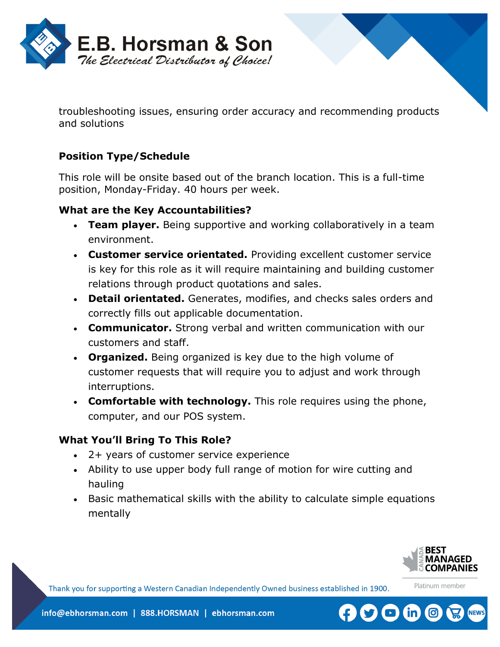

troubleshooting issues, ensuring order accuracy and recommending products and solutions

# **Position Type/Schedule**

This role will be onsite based out of the branch location. This is a full-time position, Monday-Friday. 40 hours per week.

## **What are the Key Accountabilities?**

- **Team player.** Being supportive and working collaboratively in a team environment.
- **Customer service orientated.** Providing excellent customer service is key for this role as it will require maintaining and building customer relations through product quotations and sales.
- **Detail orientated.** Generates, modifies, and checks sales orders and correctly fills out applicable documentation.
- **Communicator.** Strong verbal and written communication with our customers and staff.
- **Organized.** Being organized is key due to the high volume of customer requests that will require you to adjust and work through interruptions.
- **Comfortable with technology.** This role requires using the phone, computer, and our POS system.

## **What You'll Bring To This Role?**

- 2+ years of customer service experience
- Ability to use upper body full range of motion for wire cutting and hauling
- Basic mathematical skills with the ability to calculate simple equations mentally



Platinum member

Thank you for supporting a Western Canadian Independently Owned business established in 1900.